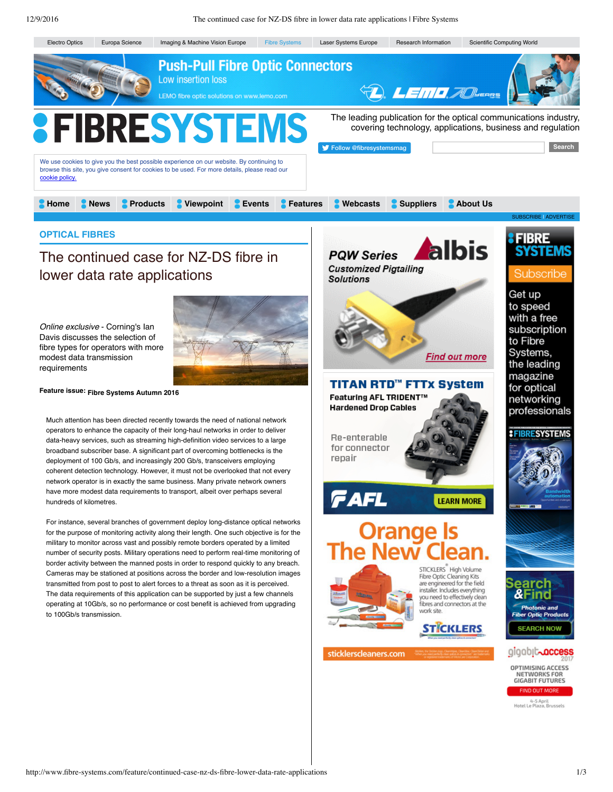## **OPTICAL FIBRES**

## The continued case for NZ-DS fibre in lower data rate applications

*Online exclusive* - Corning's Ian Davis discusses the selection of fibre types for operators with more modest data transmission requirements



## **Feature issue: [Fibre Systems Autumn 2016](http://www.fibre-systems.com/issue/fibre-systems-autumn-2016)**

Much attention has been directed recently towards the need of national network operators to enhance the capacity of their long-haul networks in order to deliver data-heavy services, such as streaming high-definition video services to a large broadband subscriber base. A significant part of overcoming bottlenecks is the deployment of 100 Gb/s, and increasingly 200 Gb/s, transceivers employing coherent detection technology. However, it must not be overlooked that not every network operator is in exactly the same business. Many private network owners have more modest data requirements to transport, albeit over perhaps several hundreds of kilometres.

For instance, several branches of government deploy long-distance optical networks for the purpose of monitoring activity along their length. One such objective is for the military to monitor across vast and possibly remote borders operated by a limited number of security posts. Military operations need to perform real-time monitoring of border activity between the manned posts in order to respond quickly to any breach. Cameras may be stationed at positions across the border and low-resolution images transmitted from post to post to alert forces to a threat as soon as it is perceived. The data requirements of this application can be supported by just a few channels operating at 10Gb/s, so no performance or cost benefit is achieved from upgrading to 100Gb/s transmission.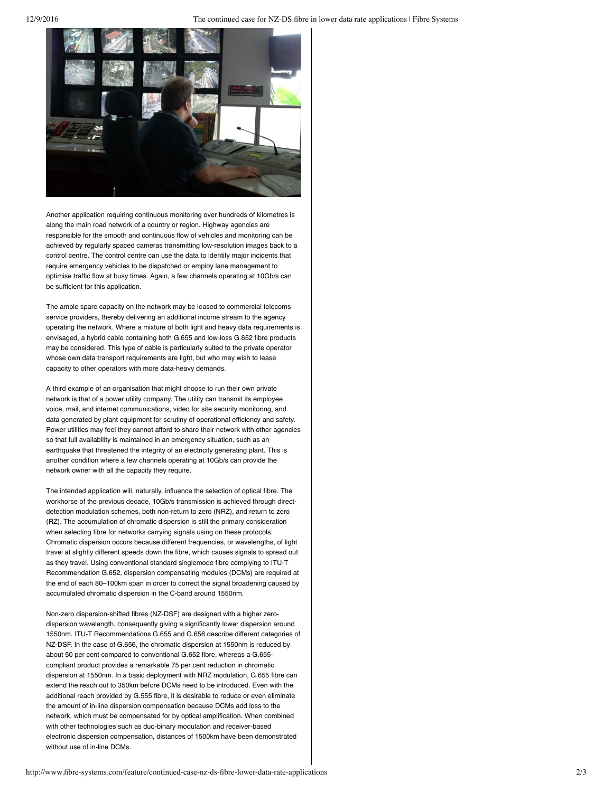

Another application requiring continuous monitoring over hundreds of kilometres is along the main road network of a country or region. Highway agencies are responsible for the smooth and continuous flow of vehicles and monitoring can be achieved by regularly spaced cameras transmitting low-resolution images back to a control centre. The control centre can use the data to identify major incidents that require emergency vehicles to be dispatched or employ lane management to optimise traffic flow at busy times. Again, a few channels operating at 10Gb/s can be sufficient for this application.

The ample spare capacity on the network may be leased to commercial telecoms service providers, thereby delivering an additional income stream to the agency operating the network. Where a mixture of both light and heavy data requirements is envisaged, a hybrid cable containing both G.655 and low-loss G.652 fibre products may be considered. This type of cable is particularly suited to the private operator whose own data transport requirements are light, but who may wish to lease capacity to other operators with more data-heavy demands.

A third example of an organisation that might choose to run their own private network is that of a power utility company. The utility can transmit its employee voice, mail, and internet communications, video for site security monitoring, and data generated by plant equipment for scrutiny of operational efficiency and safety. Power utilities may feel they cannot afford to share their network with other agencies so that full availability is maintained in an emergency situation, such as an earthquake that threatened the integrity of an electricity generating plant. This is another condition where a few channels operating at 10Gb/s can provide the network owner with all the capacity they require.

The intended application will, naturally, influence the selection of optical fibre. The workhorse of the previous decade, 10Gb/s transmission is achieved through directdetection modulation schemes, both non-return to zero (NRZ), and return to zero (RZ). The accumulation of chromatic dispersion is still the primary consideration when selecting fibre for networks carrying signals using on these protocols. Chromatic dispersion occurs because different frequencies, or wavelengths, of light travel at slightly different speeds down the fibre, which causes signals to spread out as they travel. Using conventional standard singlemode fibre complying to ITU-T Recommendation G.652, dispersion compensating modules (DCMs) are required at the end of each 80–100km span in order to correct the signal broadening caused by accumulated chromatic dispersion in the C-band around 1550nm.

Non-zero dispersion-shifted fibres (NZ-DSF) are designed with a higher zerodispersion wavelength, consequently giving a significantly lower dispersion around 1550nm. ITU-T Recommendations G.655 and G.656 describe different categories of NZ-DSF. In the case of G.656, the chromatic dispersion at 1550nm is reduced by about 50 per cent compared to conventional G.652 fibre, whereas a G.655 compliant product provides a remarkable 75 per cent reduction in chromatic dispersion at 1550nm. In a basic deployment with NRZ modulation, G.655 fibre can extend the reach out to 350km before DCMs need to be introduced. Even with the additional reach provided by G.555 fibre, it is desirable to reduce or even eliminate the amount of in-line dispersion compensation because DCMs add loss to the network, which must be compensated for by optical amplification. When combined with other technologies such as duo-binary modulation and receiver-based electronic dispersion compensation, distances of 1500km have been demonstrated without use of in-line DCMs.